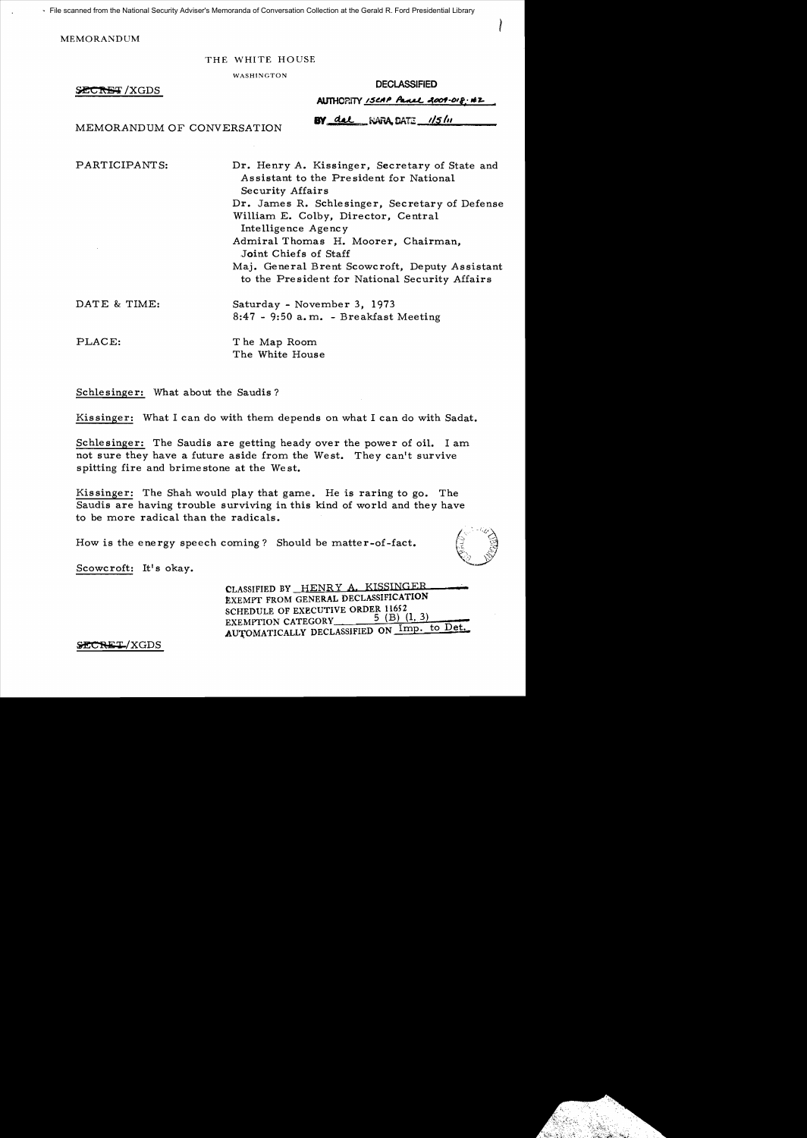File scanned from the National Security Adviser's Memoranda of Conversation Collection at the Gerald R. Ford Presidential Library

**MEMORANDUM** 

# THE WHITE HOUSE

WASHINGTON

SECRET/XGDS

| <b>DECLASSIFIED</b>               |  |
|-----------------------------------|--|
| AUTHORITY ISCAP Panel 2009-018.42 |  |

BY del WARA DATE 1/5/11

MEMORANDUM OF CONVERSATION

PARTICIPANTS:

Dr. Henry A. Kissinger, Secretary of State and Assistant to the President for National Security Affairs Dr. James R. Schlesinger. Secretary of Defense William E. Colby. Director. Central Intelligence Agency Admiral Thomas H. Moorer, Chairman. Joint Chiefs of Staff Maj. General Brent Scowcroft, Deputy Assistant to the President for National Security Affairs

DATE & TIME: Saturday - November 3, 1973  $8:47 - 9:50$  a.m. - Breakfast Meeting

PLACE:

The Map Room The White House

Schlesinger: What about the Saudis?

Kissinger: What I can do with them depends on what I can do with Sadat.

Schlesinger: The Saudis are getting heady over the power of oil. I am not sure they have a future aside from the West. They can't survive spitting fire and brimestone at the West.

Kissinger: The Shah would play that game. He is raring to go. The Saudis are having trouble surviving in this kind of world and they have to be more radical than the radicals.

How is the energy speech coming? Should be matter-of-fact.



Scowcroft: It's okay.

CLASSIFIED BY HENRY A. KISSINGER EXEMPT FROM GENERAL DECLASSIFICATION SCHEDULE OF EXECUTIVE ORDER 11652  $5$  (B)  $(1, 3)$ EXEMPTION CATEGORY AUTOMATICALLY DECLASSIFIED ON Imp. to Det.

SECRET/XGDS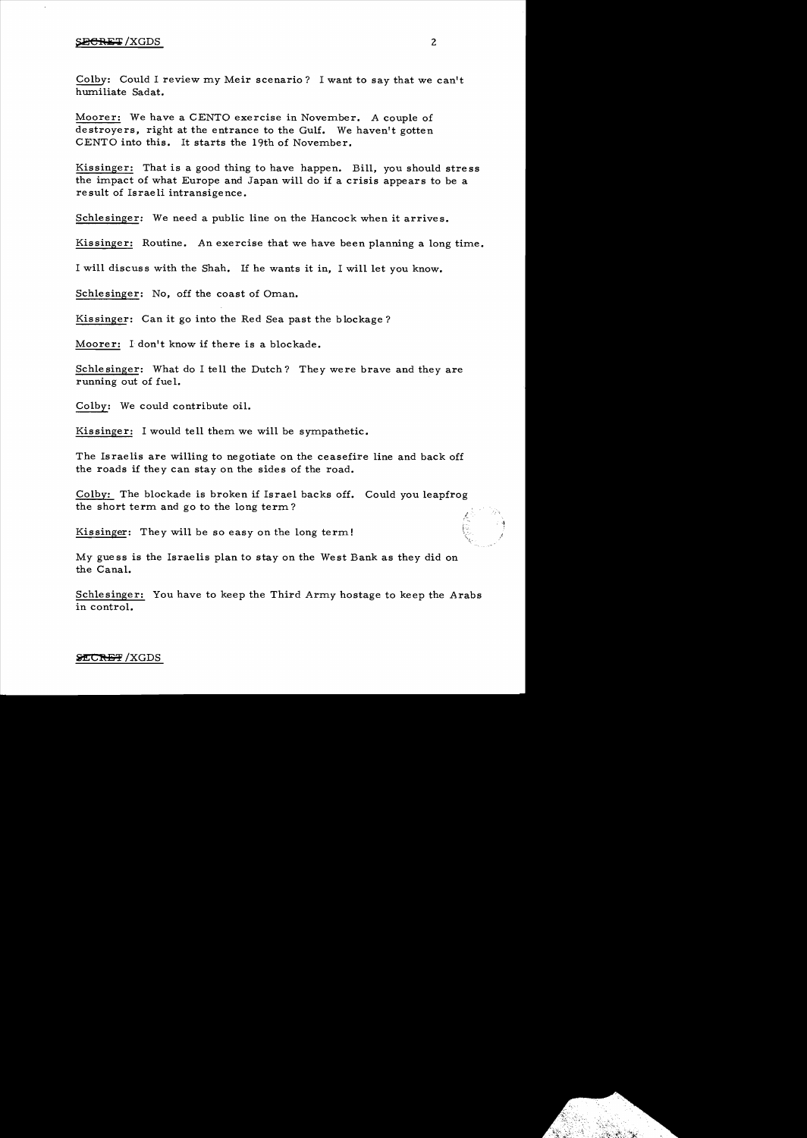# **SECRET** /XGDS 2

Colby: Could I review my Meir scenario? I want to say that we can't humiliate Sadat.

Moorer: We have a CENTO exercise in November. A couple of destroyers, right at the entrance to the Gulf. We haven't gotten CENTO into this. It starts the 19th of November.

Kissinger: That is a good thing to have happen. Bill, you should stre ss the impact of what Europe and Japan will do if a crisis appears to be a result of Israeli intransigence.

Schlesinger: We need a public line on the Hancock when it arrives.

Kissinger: Routine. An exercise that we have been planning a long time.

I will discuss with the Shah. If he wants it in, I will let you know.

Schlesinger: No, off the coast of Oman.

Kis singer: Can it go into the Red Sea past the blockage?

Moorer: I don't know if there is a blockade.

Schlesinger: What do I tell the Dutch? They were brave and they are running out of fuel.

Colby: We could contribute oil.

Kissinger: I would tell them we will be sympathetic.

The Israelis are willing to negotiate on the ceasefire line and back off the roads if they can stay on the sides of the road.

Colby: The blockade is broken if Israel backs off. Could you leapfrog the short term and go to the long term?

Kissinger: They will be so easy on the long term!

My guess is the Israelis plan to stay on the West Bank as they did on the Canal.

Schlesinger: You have to keep the Third Army hostage to keep the Arabs in control.

I *r:.* 

# **SECRET / XGDS**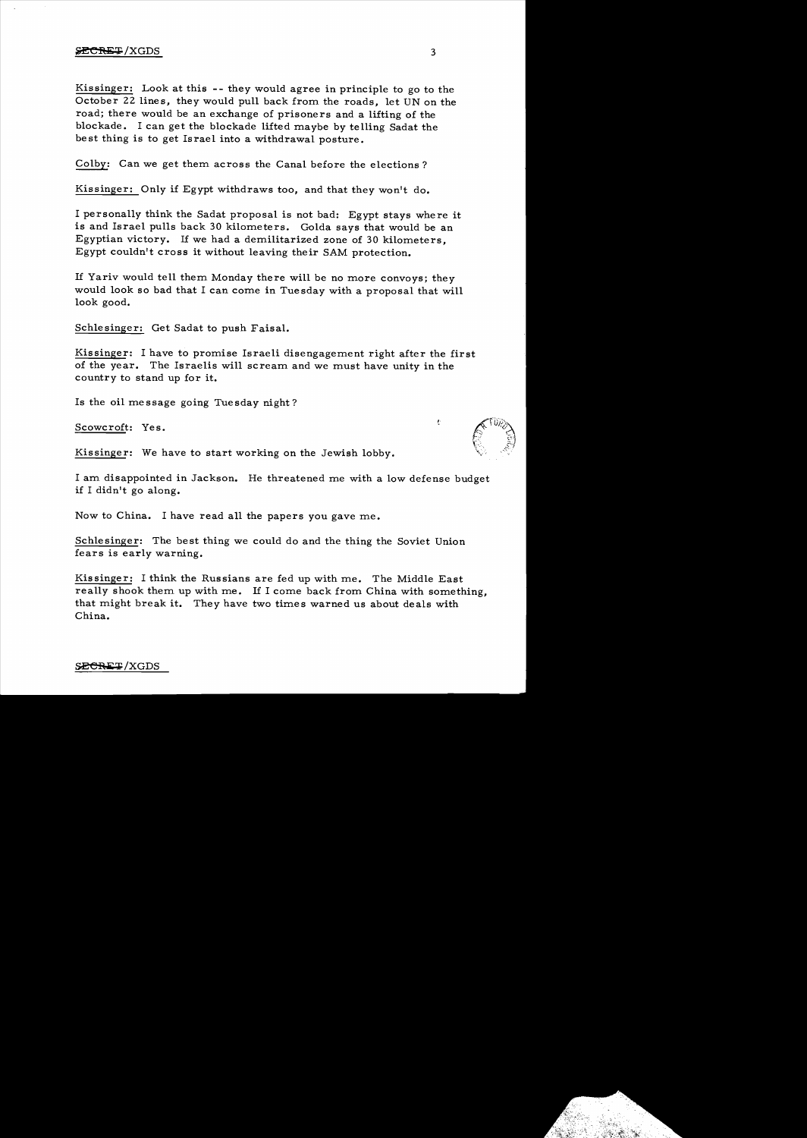# $\angle$ ECRET/XGDS 3

Kissinger: Look at this -- they would agree in principle to go to the October 22 lines, they would pull back from the roads, let UN on the road; there would be an exchange of prisoners and a lifting of the blockade. I can get the blockade lifted maybe by telling Sadat the best thing is to get Israel into a withdrawal posture.

Colby: Can we get them across the Canal before the elections?

Kissinger: Only if Egypt withdraws too, and that they won't do.

I personally think the Sadat proposal is not bad: Egypt stays where it is and Israel pulls back 30 kilometers. Golda says that would be an Egyptian victory. If we had a demilitarized zone of 30 kilometers. Egypt couldn't cross it without leaving their SAM protection.

If Yariv would tell them Monday there will be no more convoys; they would look so bad that I can come in Tuesday with a proposal that will look good.

Schle singer: Get Sadat to push Faisal.

Kissinger: I have to promise Israeli disengagement right after the first of the year. The Israelis will scream and we must have unity in the country to stand up for it.

Is the oil message going Tuesday night?

Scowcroft: Yes.

Kissinger: We have to start working on the Jewish lobby.

I am disappointed in Jackson. He threatened me with a low defense budget if I didn't go along.

Now to China. I have read all the papers you gave me.

Schlesinger: The best thing we could do and the thing the Soviet Union fears is early warning.

Kissinger: I think the Russians are fed up with me. The Middle East really shook them up with me. If I come back from China with something, that might break it. They have two times warned us about deals with China.

SECRET/XGDS

Ł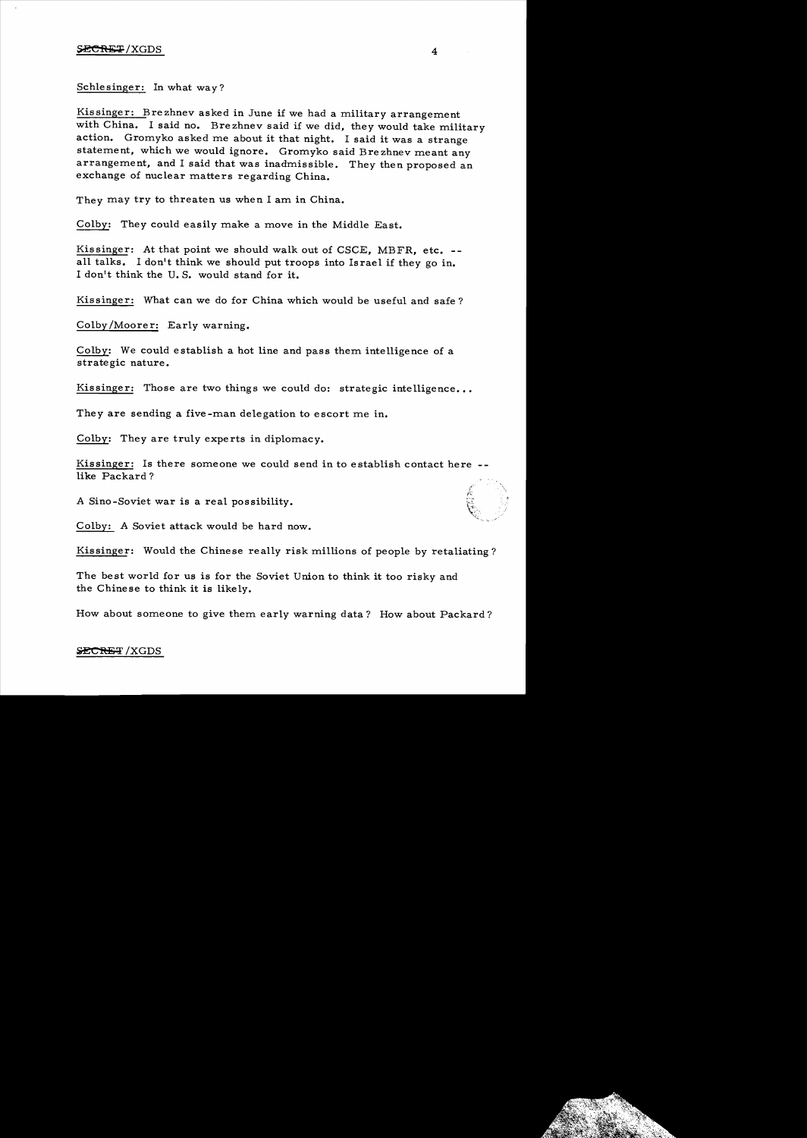# $\angle$ SECRET / XGDS 4

Schlesinger: In what way?

Kissinger: Brezhnev asked in June if we had a military arrangement with China. I said no. Brezhnev said if we did, they would take military action. Gromyko asked me about it that night. I said it was a strange statement, which we would ignore. Gromyko said Brezhnev meant any arrangement, and I said that was inadmissible. They then proposed an exchange of nuclear matters regarding China.

They may try to threaten us when I am in China.

Colby: They could easily make a move in the Middle East.

Kissinger: At that point we should walk out of CSCE, MBFR, etc. -all talks. I don't think we should put troops into Israel if they go in. I don't think the U. S. would stand for it.

Kissinger: What can we do for China which would be useful and safe?

Colby/Moorer: Early warning.

Colby: We could establish a hot line and pass them intelligence of a strategic nature.

Kissinger: Those are two things we could do: strategic intelligence...

They are sending a five-man delegation to escort me in.

Colby: They are truly experts in diplomacy.

Kissinger: Is there someone we could send in to establish contact here like Packard?

A Sino-Soviet war is a real possibility.

Colby: A Soviet attack would be hard now.

Kissinger: Would the Chinese really risk millions of people by retaliating?

The best world for us is for the Soviet Union to think it too risky and the Chinese to think it is likely.

How about someone to give them early warning data? How about Packard?

# SECRET / XGDS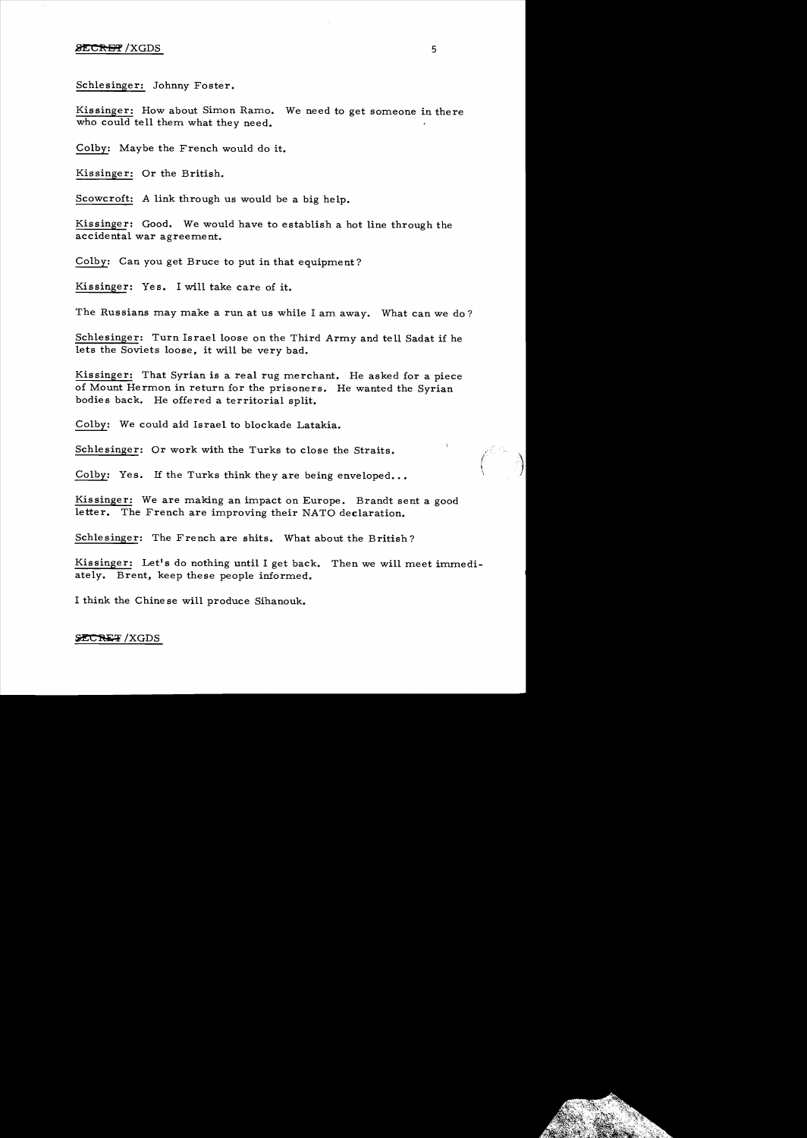#### $\overline{\text{SECH}}$  /XGDS 5

Schlesinger: Johnny Foster.

Kissinger: How about Simon Ramo. We need to get someone in there who could tell them what they need.

Colby: Maybe the French would do it.

Kissinger: Or the British.

Scowcroft: A link through us would be a big help.

Kissinger: Good. We would have to establish a hot line through the accidental war agreement.

Colby: Can you get Bruce to put in that equipment?

Kissinger: Yes. I will take care of it.

The Russians may make a run at us while I am away. What can we do?

Schlesinger: Turn Israel loose on the Third Army and tell Sadat if he lets the Soviets loose, it will be very bad.

Kissinger: That Syrian is a real rug merchant. He asked for a piece of Mount Hermon in return for the prisoners. He wanted the Syrian bodies back. He offered a territorial split.

Colby: We could aid Israel to blockade Latakia.

Schlesinger: Or work with the Turks to close the Straits.

Colby: Yes. If the Turks think they are being enveloped...

Kissinger: We are making an impact on Europe. Brandt sent a good letter. The French are improving their NATO declaration.

Schlesinger: The French are shits. What about the British?

Kissinger: Let's do nothing until I get back. Then we will meet immediately. Brent, keep these people informed.

I think the Chine se will produce Sihanouk.

#### SECRET / XGDS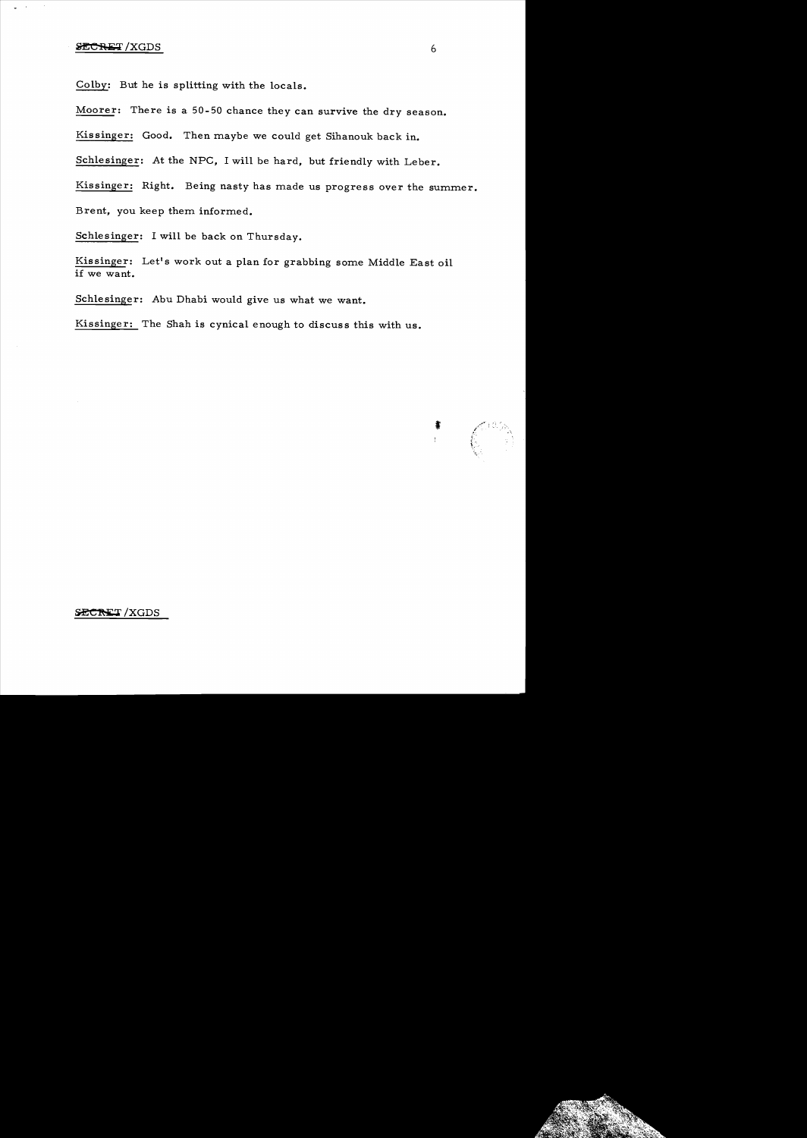Colby: But he is splitting with the locals.

Moorer: There is a 50-50 chance they can survive the dry season.

Kis singer: Good. Then maybe we could get Sihanouk back in.

Schlesinger: At the NPC, I will be hard, but friendly with Leber.

Kissinger: Right. Being nasty has made us progress over the summer. Brent, you keep them informed.

Schlesinger: I will be back on Thursday.

Kissinger: Let's work out a plan for grabbing some Middle East oil if we want.

Schlesinger: Abu Dhabi would give us what we want.

Kissinger: The Shah is cynical enough to discuss this with us.



### SECRET/XGDS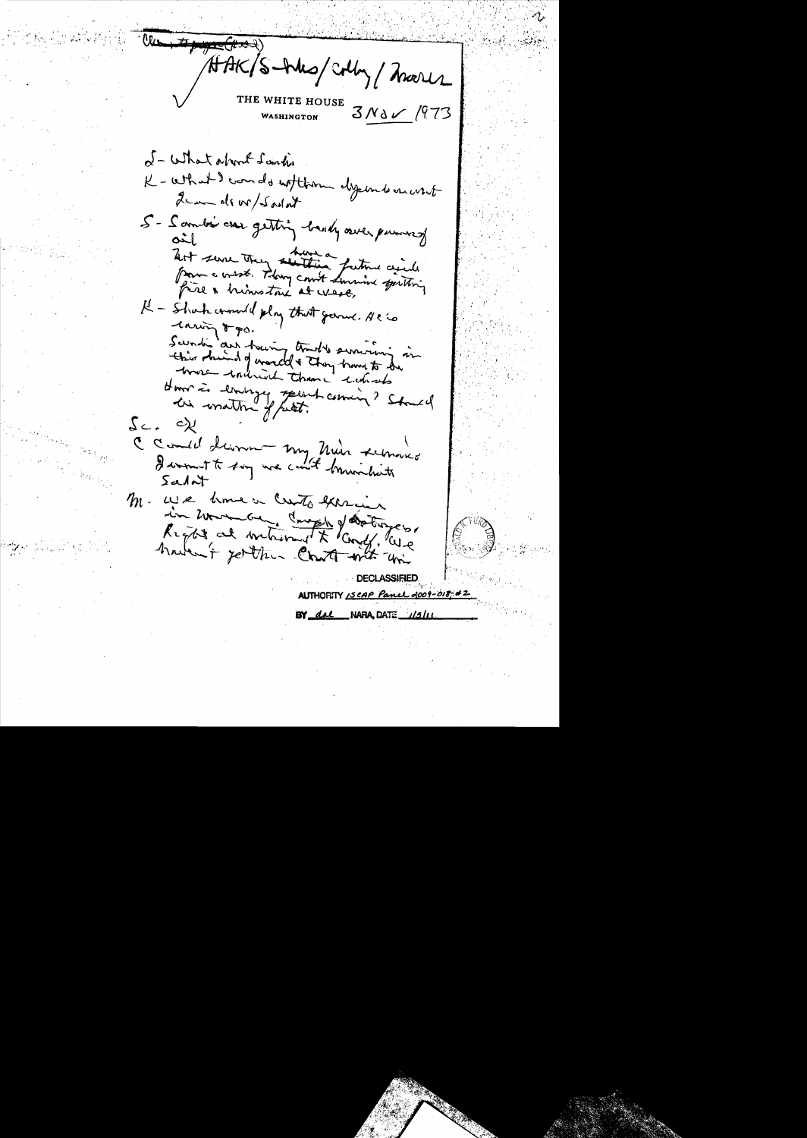$\#E(\#x \mathcal{A})$ HAK/S-Was/colly/more THE WHITE HOUSE  $3N\delta V/973$ WASHINGTON of - What about Landis K - What I wands without dysons anot Leandi w/Sadat 5 - Sambi car getting bandy aver pursual art serve they senting father agicle pour a crosste. They could have justing I - Shak commed play that general se is lawing 5 go. Swade aus having trades surviving in this shind of world & they have to be house within than i which Hommes eminger spent coming? Should in mattin of fact.  $s_{c}$ ,  $c_{\chi}$ C Could dinner my Main schnoold I wount to say we could brunchets  $5a$ M. We have a creato exercice in monde and the determine haven't getthe Chatt with un DECLASSIFIED AUTHORITY ISCAP Panel 2009-018: #2 BY dal NARA, DATE 1/5/11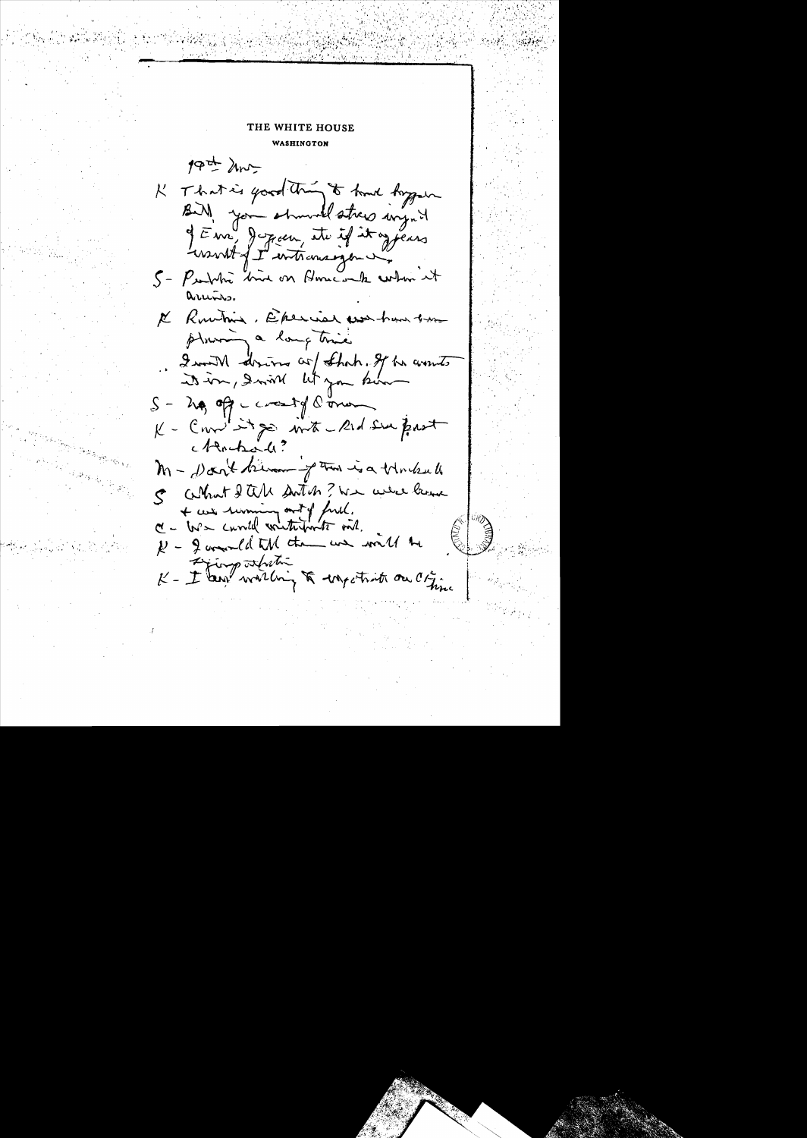THE WHITE HOUSE **WASHINGTON** 19th hours K That is good thing to hand hygen Bir) you showed stress inget of Eme, Jeppen, etc if it of pears would fet with consequent. 5 - Purble bird on Home-on to when it arund. K Runting, Eperial was have been ploning a long time Iwant drive or that. If he wonts it in, Inive lit you be  $S - \lambda \phi$ , off crossing limen K - Comme it go with a Rid Sur Prot Montrall? M - Don't know of the is a trucked C What I all sortish ? We were lame I + we reming out of full.<br>C - W - curvell writerforts ont.  $k$  - I amounted that the was with the Fjingstriti - I am willing to ungestrict on Citing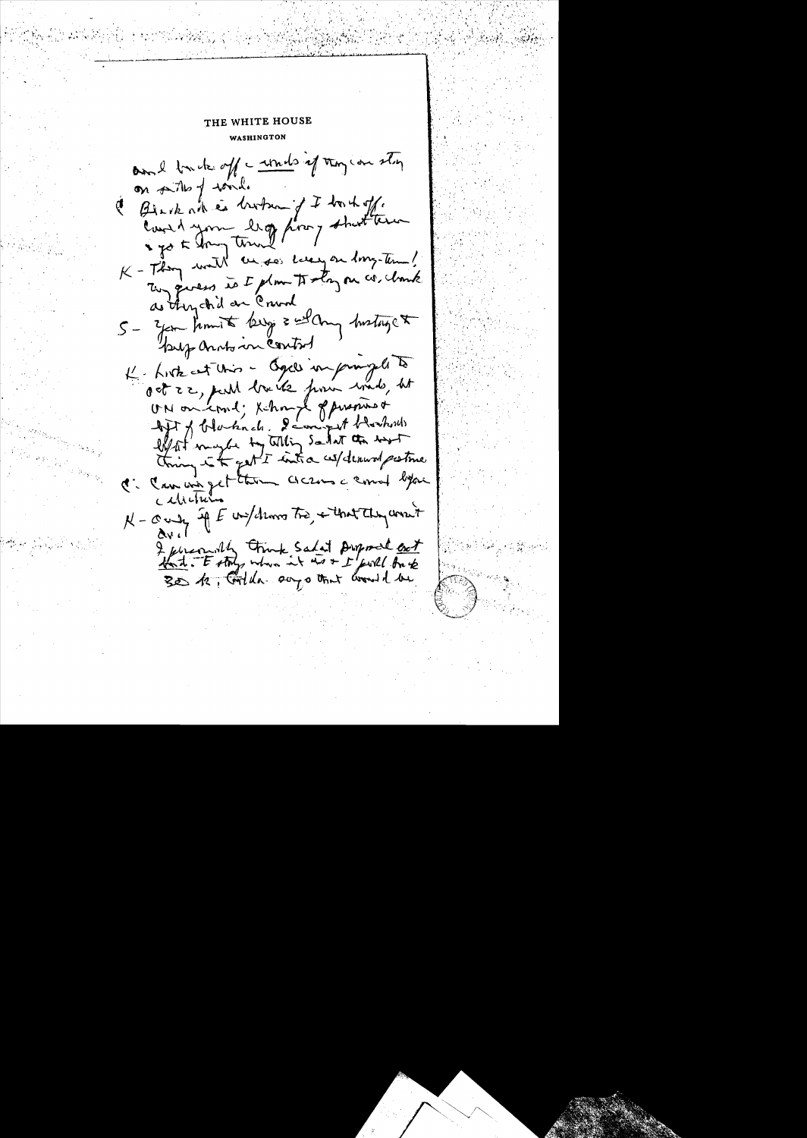WASHINGTON and truck off a words of they can stry on parths of tond. C Black at is broken if I truck off. Court A your lig poor that are K - They want an see Lucy on long-time! They givess is I plan to stay on co. hank as thy chil ar Crund 5- you know to keep = what metaget bup and in control K- Liste est Unis - Ogell imprompte to oct 22, publ loaite pour winds, ht UN on court; Khongh of propries of Aft of blacknets, I compet blockers C: Can une get them across comment before calietu N-county if E unfollows Tro, + that they won't I personnelly touch salat proposed out

THE WHITE HOUSE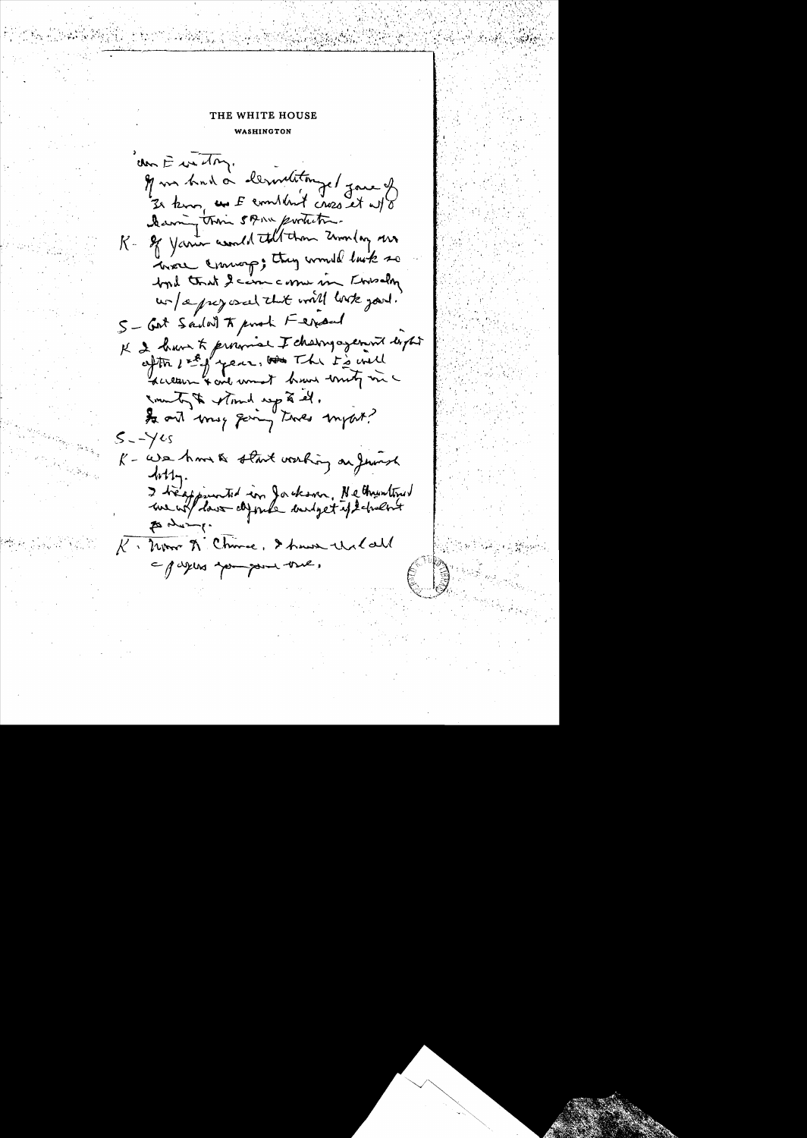### THE WHITE HOUSE

WASHINGTON

den E in try. Il un bad à lemetitange / jare of 3 km, as I combined cross at w/o Dearing their 5 point portion. K- of Your world till than Zumlay me here coming; they would last so byd that I cam come in Knisdm un/aprey oscal that will look you. S-Got Sadal To porch Ferrard K 2 have to province I changogement dight Inventages with a found to ont may going twee import?  $5 - \sqrt{45}$ K - We have a start working on Jurish  $4n11$ I trésponented in Jackson, Netheustrus  $\rightarrow$ K. Mor A Chine, I have the Call a pagers you pour tree,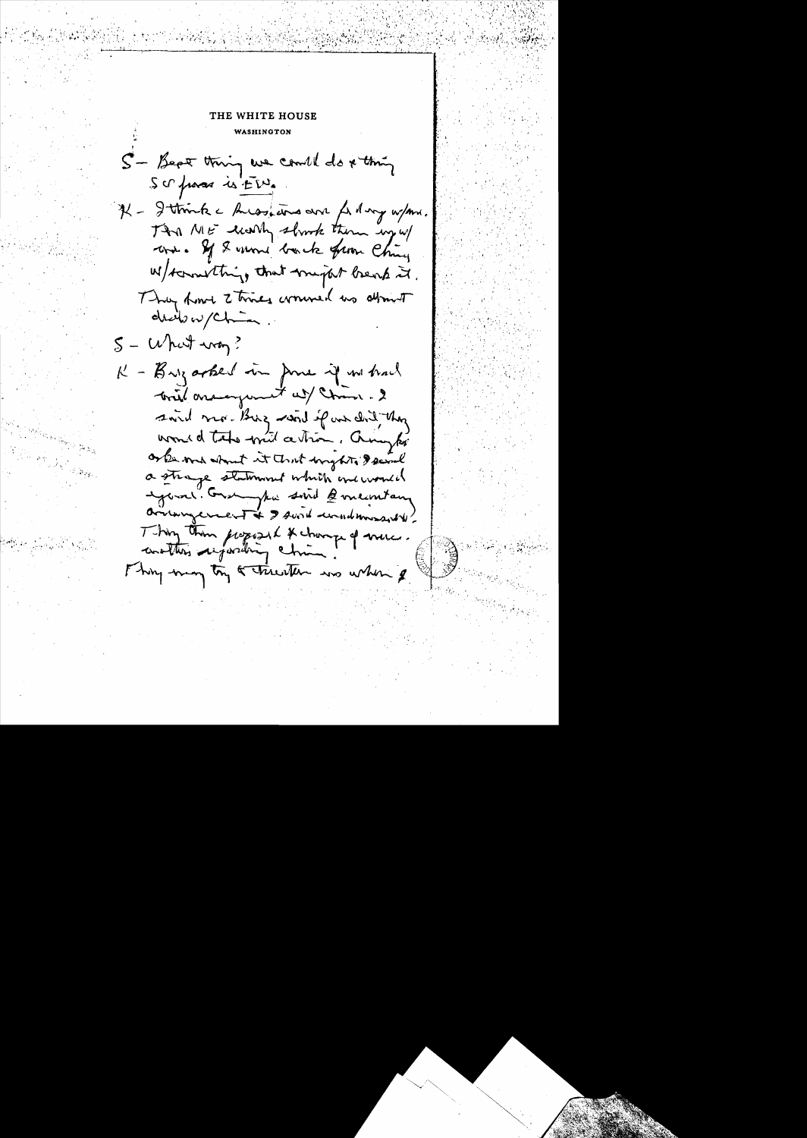# THE WHITE HOUSE WASHINGTON

S- Bept thing we could do x thing Scription is ED If - I think a hussalins and for my w/mm. This ME wonly short them up w/ when If I want book from Chiny W/scrowthing that might beach it. They from 2 times wound to about dreib w/chin  $5 -$  What way? K - Buzarbed in June if no had bried arangement at Chain. 2 swid more Burg want of an did they word d'text with a tron, Crowyki or the med about it that imptite I seeml a strange statement which are would exposer. Granghi sind 2 membars arisingerment & I sund unadmissible Thing than proposed & change of muce.

Thing may try & trienten was when &

 $\begin{split} \frac{\partial}{\partial t} & = \frac{\partial}{\partial t} \frac{\partial}{\partial t} \left[ \frac{\partial}{\partial t} \right] \frac{\partial}{\partial t} \left[ \frac{\partial}{\partial t} \right] \frac{\partial}{\partial t} \frac{\partial}{\partial t} \frac{\partial}{\partial t} \frac{\partial}{\partial t} \frac{\partial}{\partial t} \frac{\partial}{\partial t} \frac{\partial}{\partial t} \frac{\partial}{\partial x} \frac{\partial}{\partial x} \frac{\partial}{\partial x} \frac{\partial}{\partial x} \frac{\partial}{\partial x} \frac{\partial}{\partial x} \frac{\partial}{\partial x} \frac{\partial}{\partial x} \frac{\partial}{\partial x} \frac{\$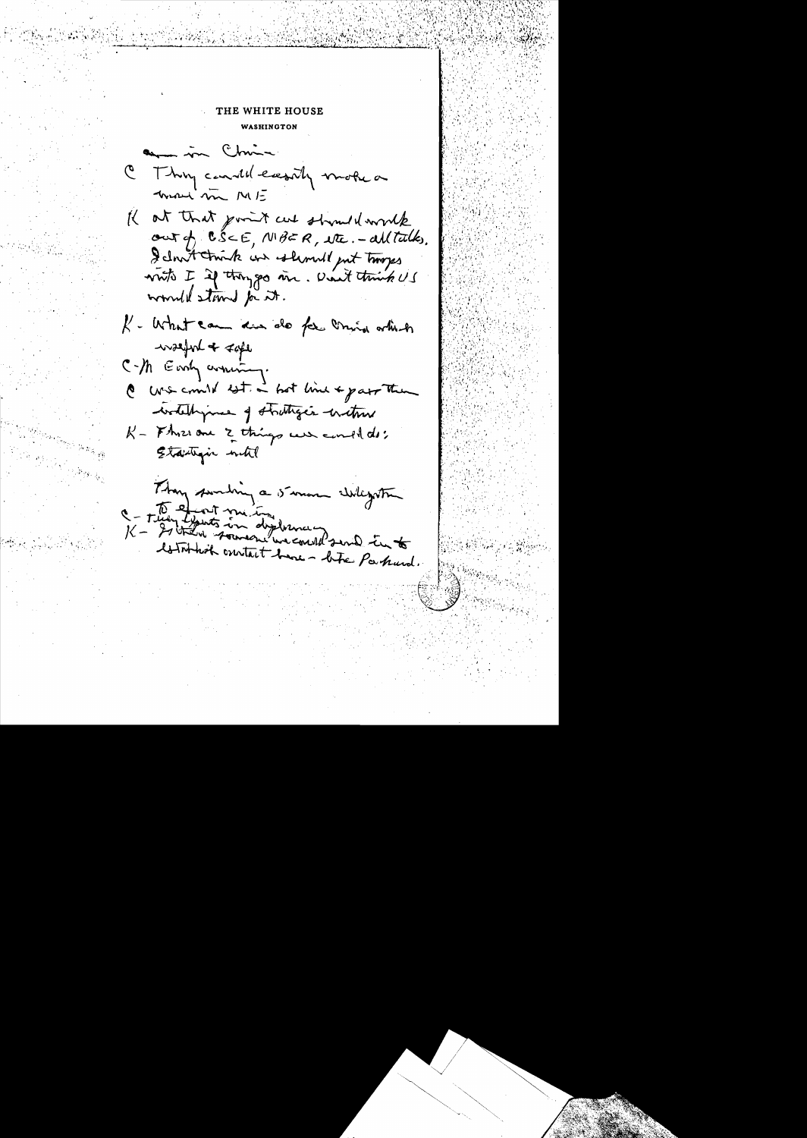### THE WHITE HOUSE

WASHINGTON

an in China C Thy candil easily motion mond'sin ME If at that point cut strond work out of  $CS\subset E$ ,  $NBER$ , NE. - all talks. I don't trink our should gut troops write I if thought in. Don't think US would stand for it. K - What can din do for mind which  $\sim$ sefort +  $\prec$ afe C-M Easy around. @ we could let in hot line & part then wedelingment of stratinger entime K - Fhree one 2 things were conded to: Etautragic with

Than sunding a summer whegather C - They that me in diplomant and into Attribut constant have - late Parkund.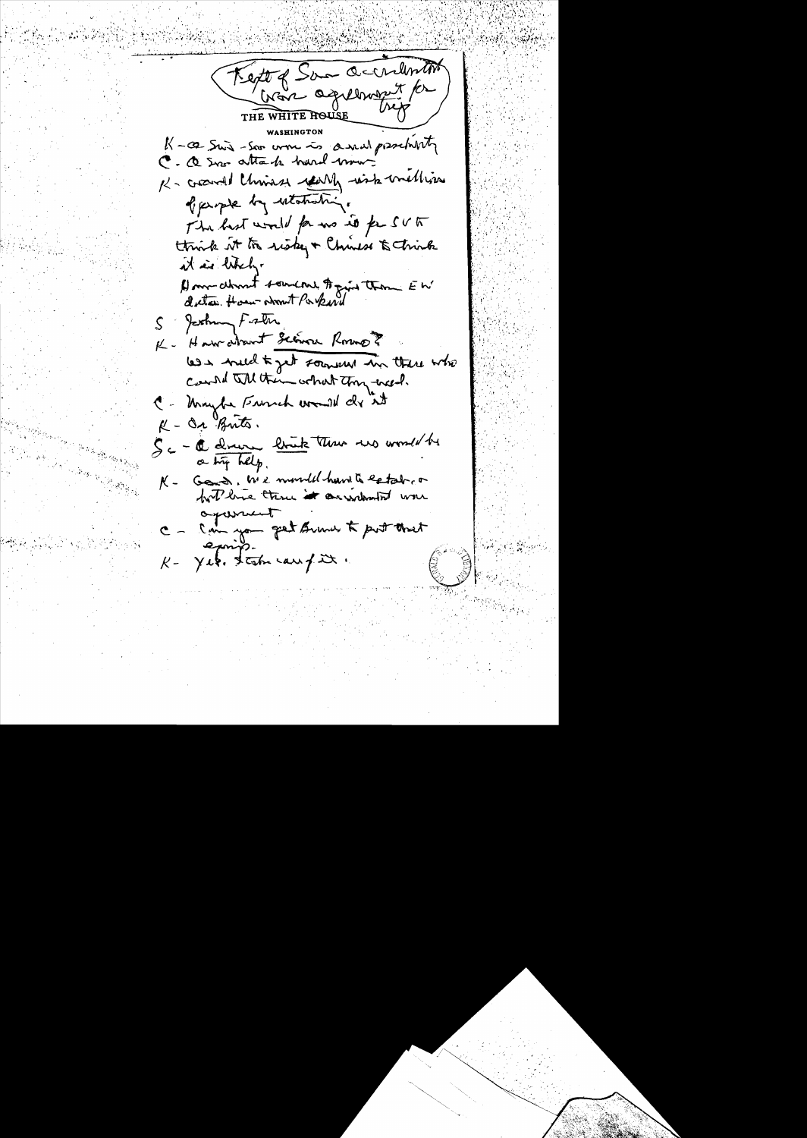Kept of Sam accordentit Cran agreement for THE WHITE HOUSE K-ce Swis-Son work is a wall prescharity C. a sur attach hard mou. K- crowned Chris es really wish mething of perpet by estatistics. The hast would for no is for SVA think it to risky + Chinese & Chink it is likely A) mor downt someone to print them EW S Jashim Fister K - Have abount Science Romo ? less weld to get somewh in there who Count all them what they treed. C - Unight French would de it K - Or Brits. Sc- C drive link the wo would be a try help. Good, We month have to estable  $K$ hot live three it arrived oganicat Can you get summer to put threat  $k$ -  $\gamma$ et. tak canfix.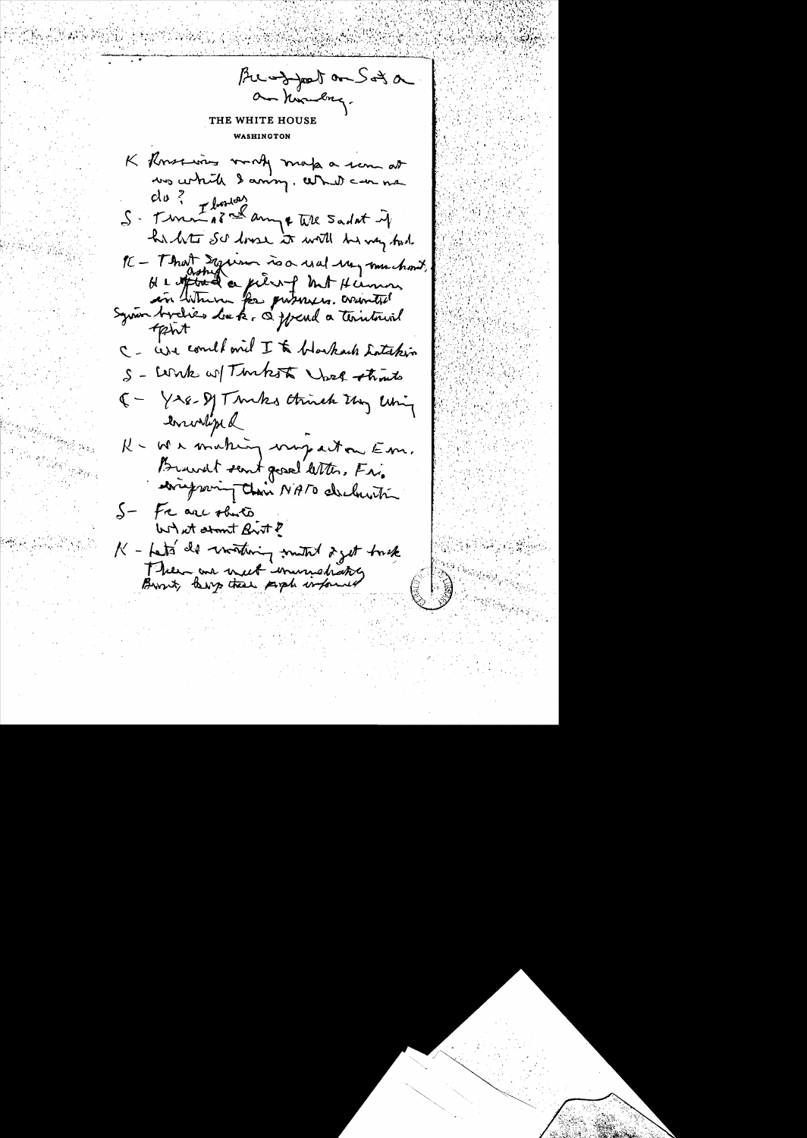Bu-zyport on Sot a am kombag. THE WHITE HOUSE **WASHINGTON** K Knoxing work make a sem at we which I aming, what can me  $du$ ?  $T$ lustar S. Turn 22 ampt till Sadat if his lite Sc losse it will be very fast PC - That Equino is a used un muchant,<br>H & oftend a pierry but Hermon,<br>an whene for putners, arinities<br>System brevies du k = a ppend a territorial tpht C - We comed one I to blockach Latakin S - Work w/ Thakest Wash that 5 - Yse-Dy Turks think they living Inrivina K - We making may act on Em. Brandt sent great letters Fr. eringming their NATO declaration S- Fr are obvito What stant Brit ? K - Lats de virtuing mutal 2 get track There are nect immediately